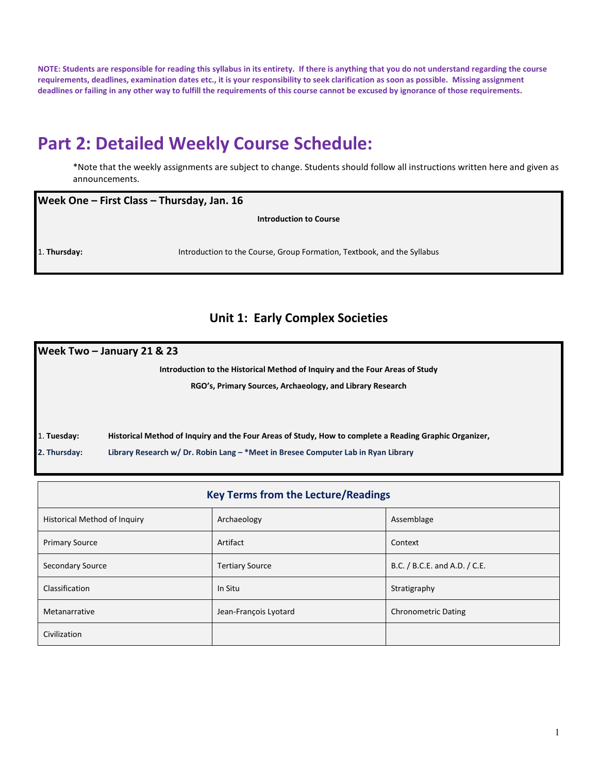**NOTE: Students are responsible for reading this syllabus in its entirety. If there is anything that you do not understand regarding the course requirements, deadlines, examination dates etc., it is your responsibility to seek clarification as soon as possible. Missing assignment deadlines or failing in any other way to fulfill the requirements of this course cannot be excused by ignorance of those requirements.**

# **Part 2: Detailed Weekly Course Schedule:**

\*Note that the weekly assignments are subject to change. Students should follow all instructions written here and given as announcements.

### **Week One – First Class – Thursday, Jan. 16**

**Introduction to Course**

1. **Thursday:** Introduction to the Course, Group Formation, Textbook, and the Syllabus

### **Unit 1: Early Complex Societies**

|              | Week Two - January 21 & 23                                                                             |
|--------------|--------------------------------------------------------------------------------------------------------|
|              | Introduction to the Historical Method of Inquiry and the Four Areas of Study                           |
|              | RGO's, Primary Sources, Archaeology, and Library Research                                              |
|              |                                                                                                        |
|              |                                                                                                        |
| 1. Tuesday:  | Historical Method of Inquiry and the Four Areas of Study, How to complete a Reading Graphic Organizer, |
| 2. Thursday: | Library Research $w/$ Dr. Robin Lang – *Meet in Bresee Computer Lab in Ryan Library                    |

| <b>Key Terms from the Lecture/Readings</b> |                        |                               |  |
|--------------------------------------------|------------------------|-------------------------------|--|
| Historical Method of Inquiry               | Archaeology            | Assemblage                    |  |
| <b>Primary Source</b>                      | Artifact               | Context                       |  |
| <b>Secondary Source</b>                    | <b>Tertiary Source</b> | B.C. / B.C.E. and A.D. / C.E. |  |
| Classification                             | In Situ                | Stratigraphy                  |  |
| Metanarrative                              | Jean-François Lyotard  | <b>Chronometric Dating</b>    |  |
| Civilization                               |                        |                               |  |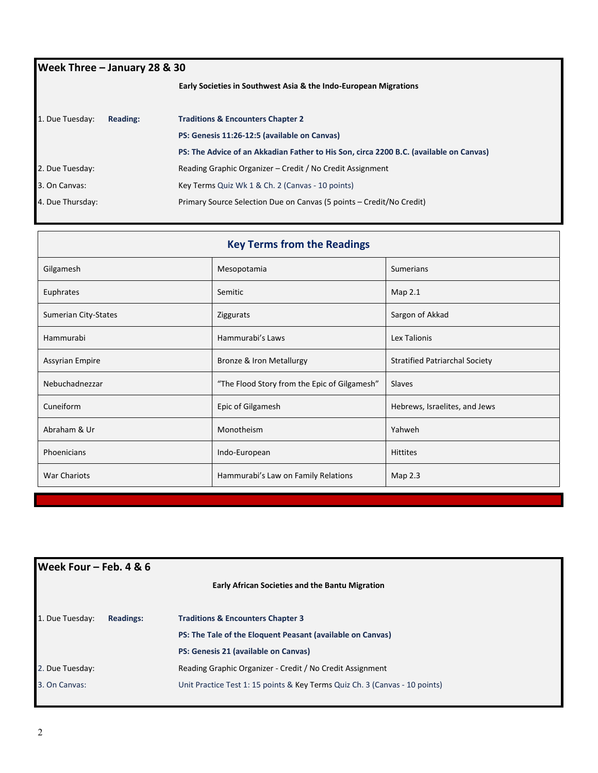| Week Three - January 28 & 30 |                 |                                                                                        |  |  |
|------------------------------|-----------------|----------------------------------------------------------------------------------------|--|--|
|                              |                 | Early Societies in Southwest Asia & the Indo-European Migrations                       |  |  |
| 1. Due Tuesday:              | <b>Reading:</b> | <b>Traditions &amp; Encounters Chapter 2</b>                                           |  |  |
|                              |                 |                                                                                        |  |  |
|                              |                 | PS: Genesis 11:26-12:5 (available on Canvas)                                           |  |  |
|                              |                 | PS: The Advice of an Akkadian Father to His Son, circa 2200 B.C. (available on Canvas) |  |  |
| 2. Due Tuesday:              |                 | Reading Graphic Organizer – Credit / No Credit Assignment                              |  |  |
| 3. On Canvas:                |                 | Key Terms Quiz Wk 1 & Ch. 2 (Canvas - 10 points)                                       |  |  |
| 4. Due Thursday:             |                 | Primary Source Selection Due on Canvas (5 points – Credit/No Credit)                   |  |  |
|                              |                 |                                                                                        |  |  |

| <b>Key Terms from the Readings</b> |                                              |                                       |  |
|------------------------------------|----------------------------------------------|---------------------------------------|--|
| Gilgamesh                          | Mesopotamia                                  | Sumerians                             |  |
| Euphrates                          | Semitic                                      | Map $2.1$                             |  |
| Sumerian City-States               | Ziggurats                                    | Sargon of Akkad                       |  |
| Hammurabi                          | Hammurabi's Laws                             | Lex Talionis                          |  |
| <b>Assyrian Empire</b>             | Bronze & Iron Metallurgy                     | <b>Stratified Patriarchal Society</b> |  |
| Nebuchadnezzar                     | "The Flood Story from the Epic of Gilgamesh" | Slaves                                |  |
| Cuneiform                          | Epic of Gilgamesh                            | Hebrews, Israelites, and Jews         |  |
| Abraham & Ur                       | Monotheism                                   | Yahweh                                |  |
| Phoenicians                        | Indo-European                                | <b>Hittites</b>                       |  |
| <b>War Chariots</b>                | Hammurabi's Law on Family Relations          | Map 2.3                               |  |

| Week Four $-$ Feb. 4 & 6 |                  |                                                                             |
|--------------------------|------------------|-----------------------------------------------------------------------------|
|                          |                  | <b>Early African Societies and the Bantu Migration</b>                      |
| 1. Due Tuesday:          | <b>Readings:</b> | <b>Traditions &amp; Encounters Chapter 3</b>                                |
|                          |                  | PS: The Tale of the Eloquent Peasant (available on Canvas)                  |
|                          |                  | PS: Genesis 21 (available on Canvas)                                        |
| 2. Due Tuesday:          |                  | Reading Graphic Organizer - Credit / No Credit Assignment                   |
| 3. On Canvas:            |                  | Unit Practice Test 1: 15 points & Key Terms Quiz Ch. 3 (Canvas - 10 points) |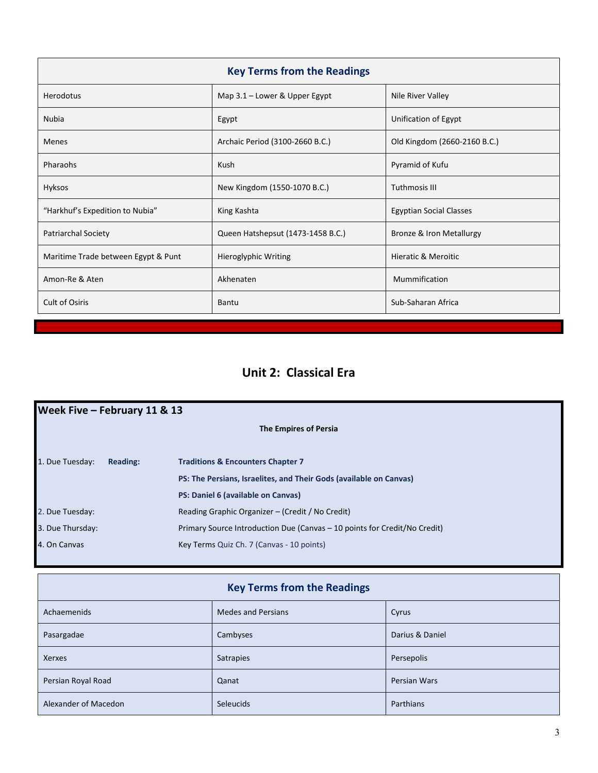| <b>Key Terms from the Readings</b>  |                                   |                                |  |
|-------------------------------------|-----------------------------------|--------------------------------|--|
| Herodotus                           | Map 3.1 - Lower & Upper Egypt     | Nile River Valley              |  |
| <b>Nubia</b>                        | Egypt                             | Unification of Egypt           |  |
| <b>Menes</b>                        | Archaic Period (3100-2660 B.C.)   | Old Kingdom (2660-2160 B.C.)   |  |
| Pharaohs                            | Kush                              | Pyramid of Kufu                |  |
| <b>Hyksos</b>                       | New Kingdom (1550-1070 B.C.)      | <b>Tuthmosis III</b>           |  |
| "Harkhuf's Expedition to Nubia"     | King Kashta                       | <b>Egyptian Social Classes</b> |  |
| <b>Patriarchal Society</b>          | Queen Hatshepsut (1473-1458 B.C.) | Bronze & Iron Metallurgy       |  |
| Maritime Trade between Egypt & Punt | Hieroglyphic Writing              | Hieratic & Meroitic            |  |
| Amon-Re & Aten                      | Akhenaten                         | Mummification                  |  |
| <b>Cult of Osiris</b>               | Bantu                             | Sub-Saharan Africa             |  |

# **Unit 2: Classical Era**

| Week Five - February 11 & 13 |                 |                                                                           |  |  |
|------------------------------|-----------------|---------------------------------------------------------------------------|--|--|
| The Empires of Persia        |                 |                                                                           |  |  |
| 1. Due Tuesday:              | <b>Reading:</b> | <b>Traditions &amp; Encounters Chapter 7</b>                              |  |  |
|                              |                 | PS: The Persians, Israelites, and Their Gods (available on Canvas)        |  |  |
|                              |                 | PS: Daniel 6 (available on Canvas)                                        |  |  |
| 2. Due Tuesday:              |                 | Reading Graphic Organizer – (Credit / No Credit)                          |  |  |
| 3. Due Thursday:             |                 | Primary Source Introduction Due (Canvas – 10 points for Credit/No Credit) |  |  |
| 4. On Canvas                 |                 | Key Terms Quiz Ch. 7 (Canvas - 10 points)                                 |  |  |

| <b>Key Terms from the Readings</b> |                           |                 |  |
|------------------------------------|---------------------------|-----------------|--|
| Achaemenids                        | <b>Medes and Persians</b> | Cyrus           |  |
| Pasargadae                         | Cambyses                  | Darius & Daniel |  |
| Xerxes                             | Satrapies                 | Persepolis      |  |
| Persian Royal Road                 | Qanat                     | Persian Wars    |  |
| Alexander of Macedon               | <b>Seleucids</b>          | Parthians       |  |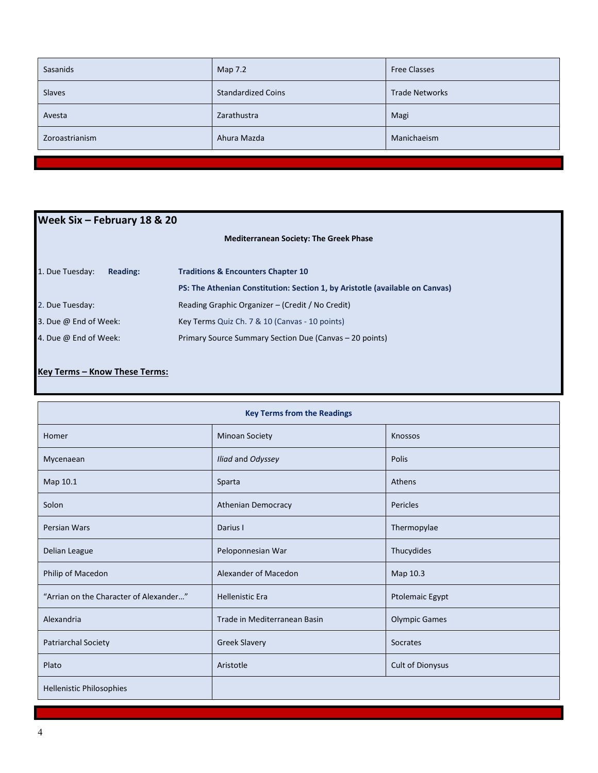| Sasanids       | Map 7.2                   | <b>Free Classes</b>   |
|----------------|---------------------------|-----------------------|
| Slaves         | <b>Standardized Coins</b> | <b>Trade Networks</b> |
| Avesta         | Zarathustra               | Magi                  |
| Zoroastrianism | Ahura Mazda               | Manichaeism           |
|                |                           |                       |

**Mediterranean Society: The Greek Phase**

## **Week Six – February 18 & 20**

| 1. Due Tuesday:<br><b>Reading:</b> | <b>Traditions &amp; Encounters Chapter 10</b>                                |
|------------------------------------|------------------------------------------------------------------------------|
|                                    | PS: The Athenian Constitution: Section 1, by Aristotle (available on Canvas) |
| 2. Due Tuesday:                    | Reading Graphic Organizer – (Credit / No Credit)                             |
| 3. Due @ End of Week:              | Key Terms Quiz Ch. 7 & 10 (Canvas - 10 points)                               |
| 4. Due @ End of Week:              | Primary Source Summary Section Due (Canvas – 20 points)                      |
|                                    |                                                                              |

#### **Key Terms – Know These Terms:**

| <b>Key Terms from the Readings</b>     |                              |                         |  |
|----------------------------------------|------------------------------|-------------------------|--|
| Homer                                  | Minoan Society               | <b>Knossos</b>          |  |
| Mycenaean                              | Iliad and Odyssey            | Polis                   |  |
| Map 10.1                               | Sparta                       | Athens                  |  |
| Solon                                  | <b>Athenian Democracy</b>    | Pericles                |  |
| <b>Persian Wars</b>                    | Darius I                     | Thermopylae             |  |
| Delian League                          | Peloponnesian War            | Thucydides              |  |
| Philip of Macedon                      | Alexander of Macedon         | Map 10.3                |  |
| "Arrian on the Character of Alexander" | <b>Hellenistic Era</b>       | Ptolemaic Egypt         |  |
| Alexandria                             | Trade in Mediterranean Basin | <b>Olympic Games</b>    |  |
| Patriarchal Society                    | <b>Greek Slavery</b>         | Socrates                |  |
| Plato                                  | Aristotle                    | <b>Cult of Dionysus</b> |  |
| <b>Hellenistic Philosophies</b>        |                              |                         |  |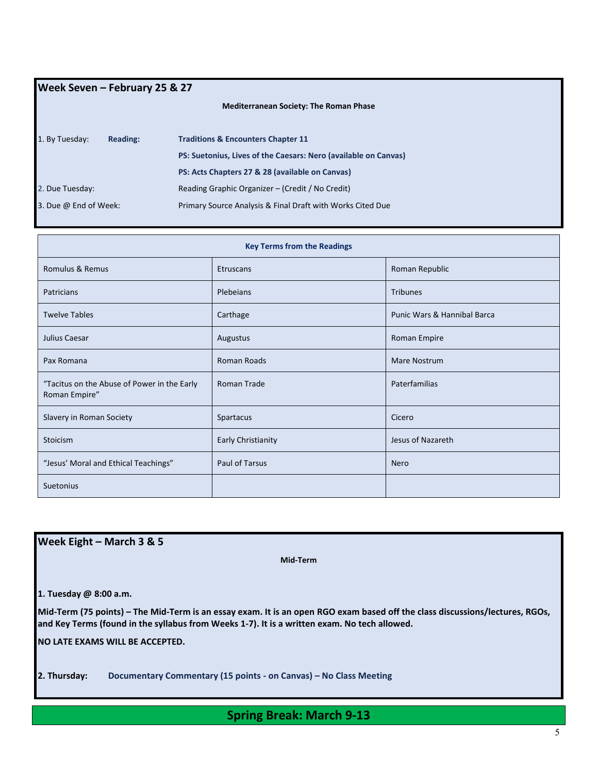### **Week Seven – February 25 & 27**

| <b>Mediterranean Society: The Roman Phase</b> |  |  |  |  |
|-----------------------------------------------|--|--|--|--|
|-----------------------------------------------|--|--|--|--|

| <b>Traditions &amp; Encounters Chapter 11</b><br><b>Reading:</b><br>1. By Tuesday: |  |                                                                 |
|------------------------------------------------------------------------------------|--|-----------------------------------------------------------------|
|                                                                                    |  | PS: Suetonius, Lives of the Caesars: Nero (available on Canvas) |
|                                                                                    |  | PS: Acts Chapters 27 & 28 (available on Canvas)                 |
| 2. Due Tuesday:                                                                    |  | Reading Graphic Organizer – (Credit / No Credit)                |
| 3. Due @ End of Week:                                                              |  | Primary Source Analysis & Final Draft with Works Cited Due      |

| <b>Key Terms from the Readings</b>                           |                    |                             |  |
|--------------------------------------------------------------|--------------------|-----------------------------|--|
| Romulus & Remus                                              | <b>Etruscans</b>   | Roman Republic              |  |
| Patricians                                                   | Plebejans          | <b>Tribunes</b>             |  |
| <b>Twelve Tables</b>                                         | Carthage           | Punic Wars & Hannibal Barca |  |
| Julius Caesar                                                | Augustus           | Roman Empire                |  |
| Pax Romana                                                   | Roman Roads        | <b>Mare Nostrum</b>         |  |
| "Tacitus on the Abuse of Power in the Early<br>Roman Empire" | Roman Trade        | Paterfamilias               |  |
| Slavery in Roman Society                                     | Spartacus          | Cicero                      |  |
| <b>Stoicism</b>                                              | Early Christianity | Jesus of Nazareth           |  |
| "Jesus' Moral and Ethical Teachings"                         | Paul of Tarsus     | Nero                        |  |
| Suetonius                                                    |                    |                             |  |

#### **Week Eight – March 3 & 5**

**Mid-Term**

#### **1. Tuesday @ 8:00 a.m.**

**Mid-Term (75 points) – The Mid-Term is an essay exam. It is an open RGO exam based off the class discussions/lectures, RGOs, and Key Terms (found in the syllabus from Weeks 1-7). It is a written exam. No tech allowed.**

**NO LATE EXAMS WILL BE ACCEPTED.**

**2. Thursday: Documentary Commentary (15 points - on Canvas) – No Class Meeting**

**Spring Break: March 9-13**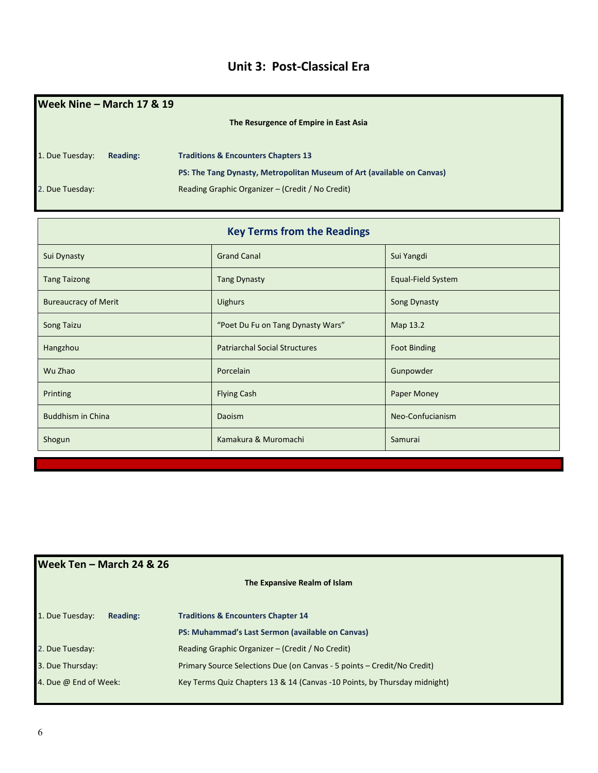## **Unit 3: Post-Classical Era**

|                 | Week Nine - March 17 & 19 |                                                                        |
|-----------------|---------------------------|------------------------------------------------------------------------|
|                 |                           | The Resurgence of Empire in East Asia                                  |
| 1. Due Tuesday: | <b>Reading:</b>           | <b>Traditions &amp; Encounters Chapters 13</b>                         |
|                 |                           | PS: The Tang Dynasty, Metropolitan Museum of Art (available on Canvas) |
| 2. Due Tuesday: |                           | Reading Graphic Organizer – (Credit / No Credit)                       |

| <b>Key Terms from the Readings</b> |                                      |                     |  |
|------------------------------------|--------------------------------------|---------------------|--|
| Sui Dynasty                        | <b>Grand Canal</b>                   | Sui Yangdi          |  |
| <b>Tang Taizong</b>                | <b>Tang Dynasty</b>                  | Equal-Field System  |  |
| <b>Bureaucracy of Merit</b>        | <b>Uighurs</b>                       | Song Dynasty        |  |
| Song Taizu                         | "Poet Du Fu on Tang Dynasty Wars"    | Map 13.2            |  |
| Hangzhou                           | <b>Patriarchal Social Structures</b> | <b>Foot Binding</b> |  |
| Wu Zhao                            | Porcelain                            | Gunpowder           |  |
| Printing                           | <b>Flying Cash</b>                   | Paper Money         |  |
| <b>Buddhism in China</b>           | Daoism                               | Neo-Confucianism    |  |
| Shogun                             | Kamakura & Muromachi                 | Samurai             |  |

| Week Ten - March 24 & 26           |                                                                           |
|------------------------------------|---------------------------------------------------------------------------|
|                                    | The Expansive Realm of Islam                                              |
| 1. Due Tuesday:<br><b>Reading:</b> | <b>Traditions &amp; Encounters Chapter 14</b>                             |
|                                    | PS: Muhammad's Last Sermon (available on Canvas)                          |
| 2. Due Tuesday:                    | Reading Graphic Organizer – (Credit / No Credit)                          |
| 3. Due Thursday:                   | Primary Source Selections Due (on Canvas - 5 points – Credit/No Credit)   |
| 4. Due @ End of Week:              | Key Terms Quiz Chapters 13 & 14 (Canvas -10 Points, by Thursday midnight) |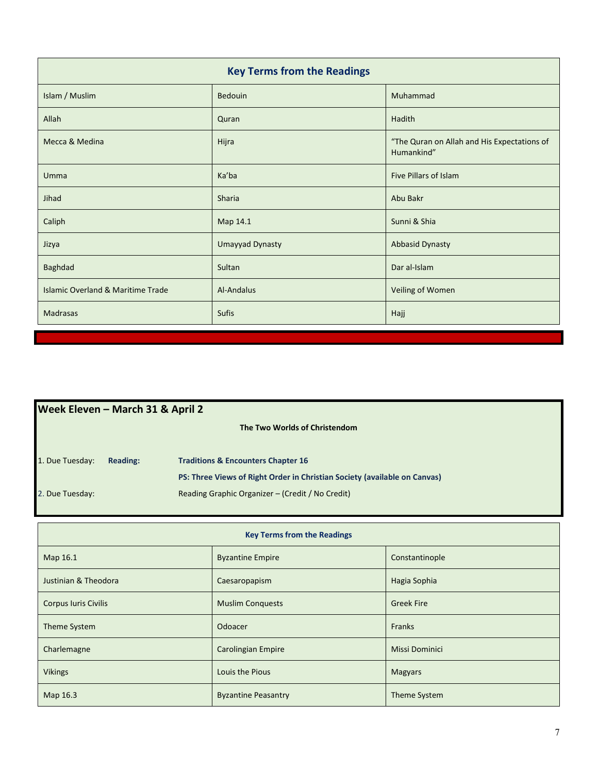| <b>Key Terms from the Readings</b>           |                        |                                                           |  |
|----------------------------------------------|------------------------|-----------------------------------------------------------|--|
| Islam / Muslim                               | Bedouin                | Muhammad                                                  |  |
| Allah                                        | Quran                  | Hadith                                                    |  |
| Mecca & Medina                               | Hijra                  | "The Quran on Allah and His Expectations of<br>Humankind" |  |
| Umma                                         | Ka'ba                  | Five Pillars of Islam                                     |  |
| Jihad                                        | Sharia                 | Abu Bakr                                                  |  |
| Caliph                                       | Map 14.1               | Sunni & Shia                                              |  |
| Jizya                                        | <b>Umayyad Dynasty</b> | Abbasid Dynasty                                           |  |
| Baghdad                                      | Sultan                 | Dar al-Islam                                              |  |
| <b>Islamic Overland &amp; Maritime Trade</b> | Al-Andalus             | Veiling of Women                                          |  |
| Madrasas                                     | <b>Sufis</b>           | Hajj                                                      |  |

| Week Eleven - March 31 & April 2 |                 |                                                                           |
|----------------------------------|-----------------|---------------------------------------------------------------------------|
|                                  |                 | The Two Worlds of Christendom                                             |
| 1. Due Tuesday:                  | <b>Reading:</b> | <b>Traditions &amp; Encounters Chapter 16</b>                             |
|                                  |                 | PS: Three Views of Right Order in Christian Society (available on Canvas) |
| 2. Due Tuesday:                  |                 | Reading Graphic Organizer – (Credit / No Credit)                          |

| <b>Key Terms from the Readings</b> |                            |                       |  |
|------------------------------------|----------------------------|-----------------------|--|
| Map 16.1                           | <b>Byzantine Empire</b>    | Constantinople        |  |
| Justinian & Theodora               | Caesaropapism              | Hagia Sophia          |  |
| <b>Corpus Iuris Civilis</b>        | <b>Muslim Conquests</b>    | <b>Greek Fire</b>     |  |
| Theme System                       | Odoacer                    | <b>Franks</b>         |  |
| Charlemagne                        | <b>Carolingian Empire</b>  | <b>Missi Dominici</b> |  |
| <b>Vikings</b>                     | Louis the Pious            | <b>Magyars</b>        |  |
| Map 16.3                           | <b>Byzantine Peasantry</b> | Theme System          |  |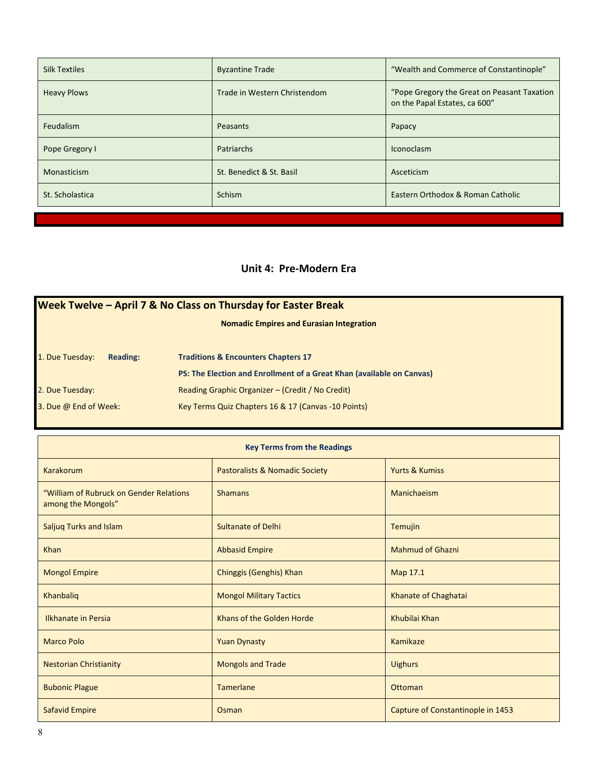| <b>Silk Textiles</b> | <b>Byzantine Trade</b>       | "Wealth and Commerce of Constantinople"                                      |
|----------------------|------------------------------|------------------------------------------------------------------------------|
| <b>Heavy Plows</b>   | Trade in Western Christendom | "Pope Gregory the Great on Peasant Taxation<br>on the Papal Estates, ca 600" |
| Feudalism            | Peasants                     | Papacy                                                                       |
| Pope Gregory I       | <b>Patriarchs</b>            | Iconoclasm                                                                   |
| Monasticism          | St. Benedict & St. Basil     | Asceticism                                                                   |
| St. Scholastica      | Schism                       | Eastern Orthodox & Roman Catholic                                            |

#### **Unit 4: Pre-Modern Era**

a sa kabila sa kalendar na matangan na matangan na matangan na matangan na matangan na matangan na matangan na<br>Mga ang mga ang mga ang mga ang mga ang mga ang mga ang mga ang mga ang mga ang mga ang mga ang mga ang mga an

| Week Twelve - April 7 & No Class on Thursday for Easter Break |                                                                       |  |
|---------------------------------------------------------------|-----------------------------------------------------------------------|--|
| <b>Nomadic Empires and Eurasian Integration</b>               |                                                                       |  |
| 1. Due Tuesday:<br><b>Reading:</b>                            | <b>Traditions &amp; Encounters Chapters 17</b>                        |  |
|                                                               | PS: The Election and Enrollment of a Great Khan (available on Canvas) |  |
| 2. Due Tuesday:                                               | Reading Graphic Organizer – (Credit / No Credit)                      |  |
| 3. Due @ End of Week:                                         | Key Terms Quiz Chapters 16 & 17 (Canvas -10 Points)                   |  |

| <b>Key Terms from the Readings</b>                            |                                           |                                   |  |
|---------------------------------------------------------------|-------------------------------------------|-----------------------------------|--|
| Karakorum                                                     | <b>Pastoralists &amp; Nomadic Society</b> | <b>Yurts &amp; Kumiss</b>         |  |
| "William of Rubruck on Gender Relations<br>among the Mongols" | <b>Shamans</b>                            | Manichaeism                       |  |
| Saljuq Turks and Islam                                        | <b>Sultanate of Delhi</b>                 | Temujin                           |  |
| <b>Khan</b>                                                   | <b>Abbasid Empire</b>                     | <b>Mahmud of Ghazni</b>           |  |
| <b>Mongol Empire</b>                                          | Chinggis (Genghis) Khan                   | Map 17.1                          |  |
| Khanbaliq                                                     | <b>Mongol Military Tactics</b>            | Khanate of Chaghatai              |  |
| <b>Ilkhanate in Persia</b>                                    | Khans of the Golden Horde                 | Khubilai Khan                     |  |
| <b>Marco Polo</b>                                             | <b>Yuan Dynasty</b>                       | Kamikaze                          |  |
| <b>Nestorian Christianity</b>                                 | <b>Mongols and Trade</b>                  | <b>Uighurs</b>                    |  |
| <b>Bubonic Plague</b>                                         | Tamerlane                                 | Ottoman                           |  |
| <b>Safavid Empire</b>                                         | Osman                                     | Capture of Constantinople in 1453 |  |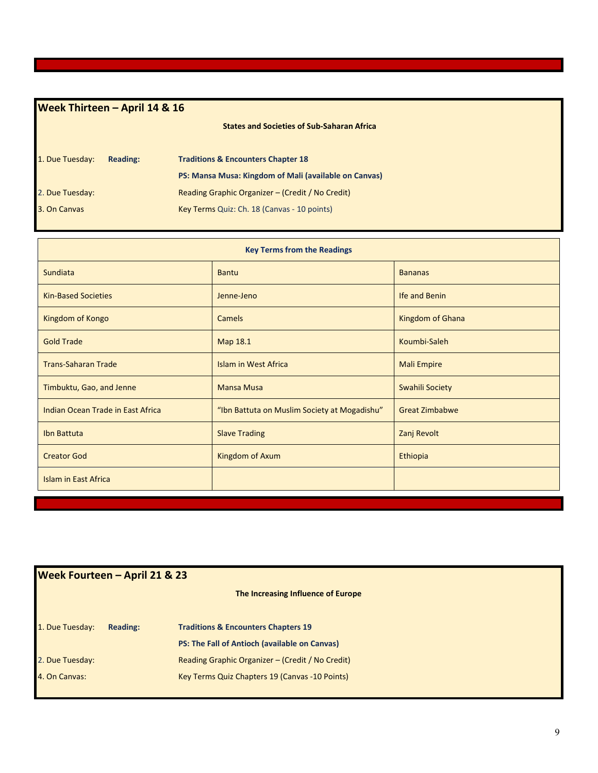# **Week Thirteen – April 14 & 16**

|                 |                 | <b>States and Societies of Sub-Saharan Africa</b>     |  |
|-----------------|-----------------|-------------------------------------------------------|--|
| 1. Due Tuesday: | <b>Reading:</b> | <b>Traditions &amp; Encounters Chapter 18</b>         |  |
|                 |                 | PS: Mansa Musa: Kingdom of Mali (available on Canvas) |  |
| 2. Due Tuesday: |                 | Reading Graphic Organizer – (Credit / No Credit)      |  |
| 3. On Canvas    |                 | Key Terms Quiz: Ch. 18 (Canvas - 10 points)           |  |

| <b>Key Terms from the Readings</b> |                                              |                       |
|------------------------------------|----------------------------------------------|-----------------------|
| Sundiata                           | <b>Bantu</b>                                 | <b>Bananas</b>        |
| <b>Kin-Based Societies</b>         | Jenne-Jeno                                   | Ife and Benin         |
| Kingdom of Kongo                   | <b>Camels</b>                                | Kingdom of Ghana      |
| <b>Gold Trade</b>                  | Map 18.1                                     | Koumbi-Saleh          |
| <b>Trans-Saharan Trade</b>         | Islam in West Africa                         | <b>Mali Empire</b>    |
| Timbuktu, Gao, and Jenne           | <b>Mansa Musa</b>                            | Swahili Society       |
| Indian Ocean Trade in East Africa  | "Ibn Battuta on Muslim Society at Mogadishu" | <b>Great Zimbabwe</b> |
| Ibn Battuta                        | <b>Slave Trading</b>                         | Zanj Revolt           |
| <b>Creator God</b>                 | Kingdom of Axum                              | Ethiopia              |
| <b>Islam in East Africa</b>        |                                              |                       |

| Week Fourteen - April 21 & 23      |                                                  |  |  |
|------------------------------------|--------------------------------------------------|--|--|
| The Increasing Influence of Europe |                                                  |  |  |
| 1. Due Tuesday:<br><b>Reading:</b> | <b>Traditions &amp; Encounters Chapters 19</b>   |  |  |
|                                    | PS: The Fall of Antioch (available on Canvas)    |  |  |
| 2. Due Tuesday:                    | Reading Graphic Organizer – (Credit / No Credit) |  |  |
| 4. On Canvas:                      | Key Terms Quiz Chapters 19 (Canvas -10 Points)   |  |  |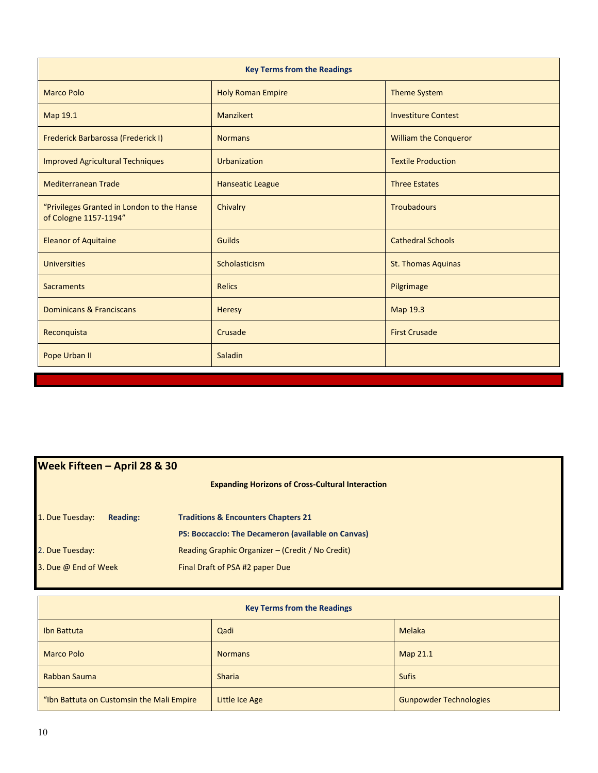| <b>Key Terms from the Readings</b>                                  |                          |                              |  |
|---------------------------------------------------------------------|--------------------------|------------------------------|--|
| <b>Marco Polo</b>                                                   | <b>Holy Roman Empire</b> | <b>Theme System</b>          |  |
| Map 19.1                                                            | Manzikert                | <b>Investiture Contest</b>   |  |
| Frederick Barbarossa (Frederick I)                                  | <b>Normans</b>           | <b>William the Conqueror</b> |  |
| <b>Improved Agricultural Techniques</b>                             | <b>Urbanization</b>      | <b>Textile Production</b>    |  |
| <b>Mediterranean Trade</b>                                          | <b>Hanseatic League</b>  | <b>Three Estates</b>         |  |
| "Privileges Granted in London to the Hanse<br>of Cologne 1157-1194" | Chivalry                 | <b>Troubadours</b>           |  |
| <b>Eleanor of Aquitaine</b>                                         | <b>Guilds</b>            | <b>Cathedral Schools</b>     |  |
| <b>Universities</b>                                                 | Scholasticism            | St. Thomas Aquinas           |  |
| <b>Sacraments</b>                                                   | <b>Relics</b>            | Pilgrimage                   |  |
| <b>Dominicans &amp; Franciscans</b>                                 | Heresy                   | Map 19.3                     |  |
| Reconquista                                                         | Crusade                  | <b>First Crusade</b>         |  |
| Pope Urban II                                                       | Saladin                  |                              |  |

| Week Fifteen - April 28 & 30                            |                                                    |  |  |
|---------------------------------------------------------|----------------------------------------------------|--|--|
| <b>Expanding Horizons of Cross-Cultural Interaction</b> |                                                    |  |  |
| 1. Due Tuesday:<br><b>Reading:</b>                      | <b>Traditions &amp; Encounters Chapters 21</b>     |  |  |
|                                                         | PS: Boccaccio: The Decameron (available on Canvas) |  |  |
| 2. Due Tuesday:                                         | Reading Graphic Organizer – (Credit / No Credit)   |  |  |
| 3. Due @ End of Week                                    | Final Draft of PSA #2 paper Due                    |  |  |

| <b>Key Terms from the Readings</b>        |                |                               |  |
|-------------------------------------------|----------------|-------------------------------|--|
| Ibn Battuta                               | Qadi           | <b>Melaka</b>                 |  |
| <b>Marco Polo</b>                         | <b>Normans</b> | Map 21.1                      |  |
| Rabban Sauma                              | <b>Sharia</b>  | <b>Sufis</b>                  |  |
| "Ibn Battuta on Customsin the Mali Empire | Little Ice Age | <b>Gunpowder Technologies</b> |  |